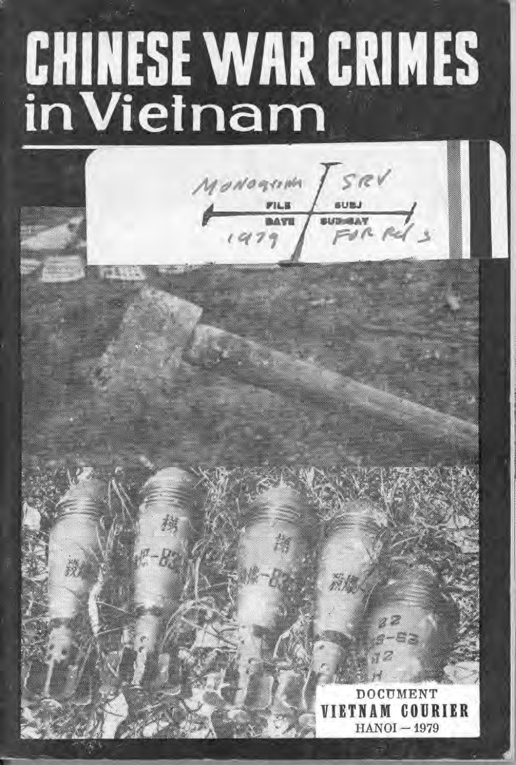# **CHINESE WAR CRIMES**<br>in Vietnam

ov *ONOGINA* 

CUMENT COURTER M  $HANOI - 1979$ 

an n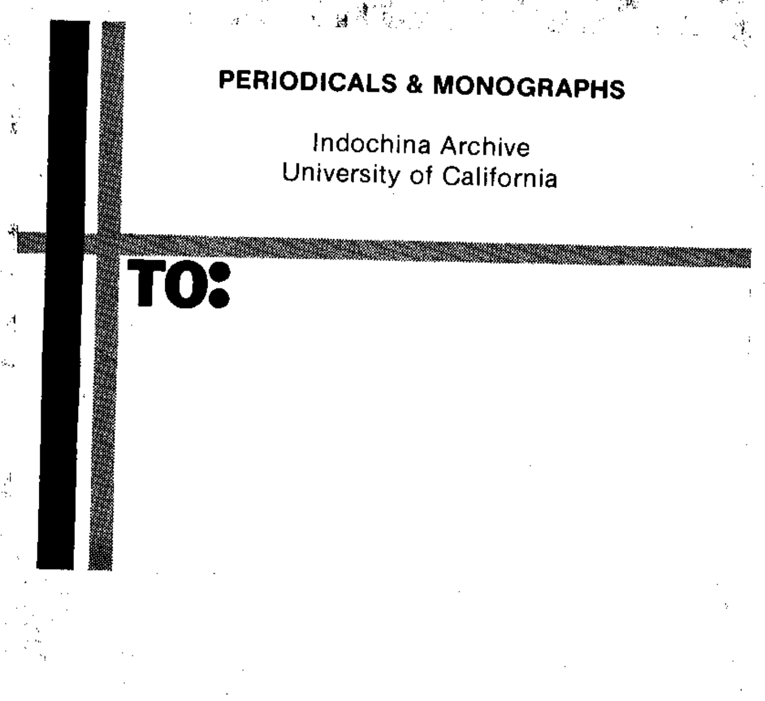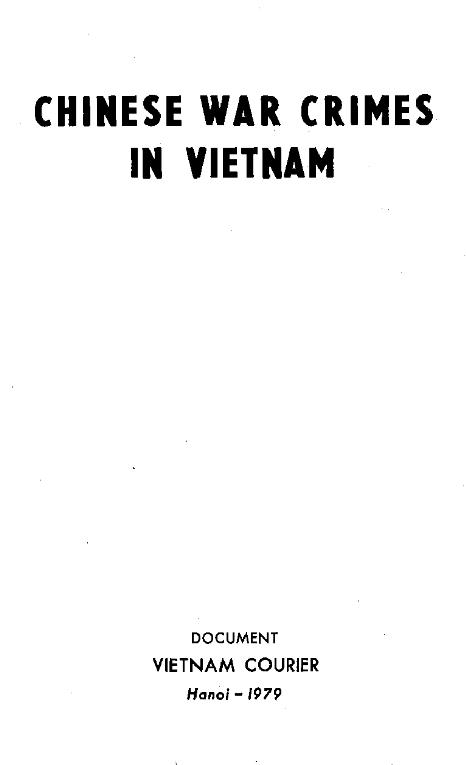# **CHINESE WAR CRIMES IN VIETNAM**

DOCUMENT VIETNAM COURIER *Hanoi-1979* 

**Contractor**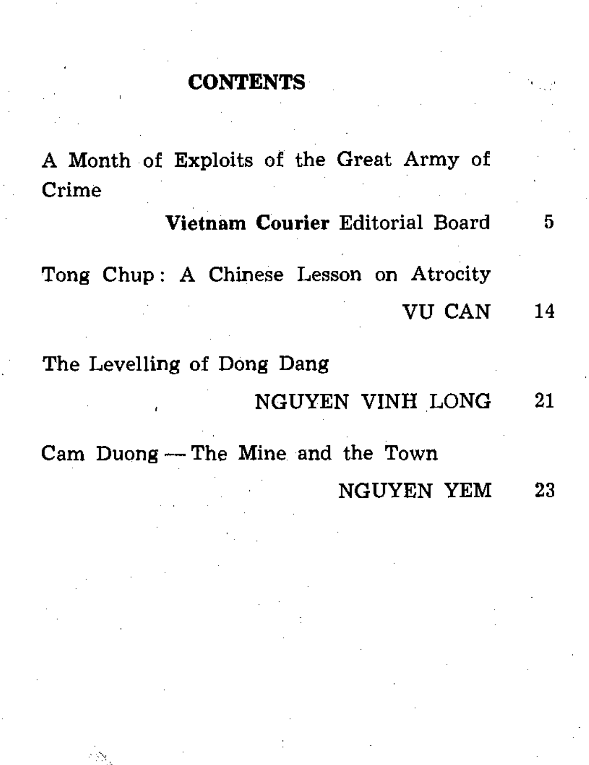#### **CONTENTS**

A Month of Exploits of the Great Army of Crime

Vietnam Courier Editorial Board 5 Tong Chup: A Chinese Lesson on Atrocity VU CAN 14

The Levelling of Dong Dang

NGUYEN VINH LONG 21

Cam Duong - The Mine and the Town NGUYEN YEM 23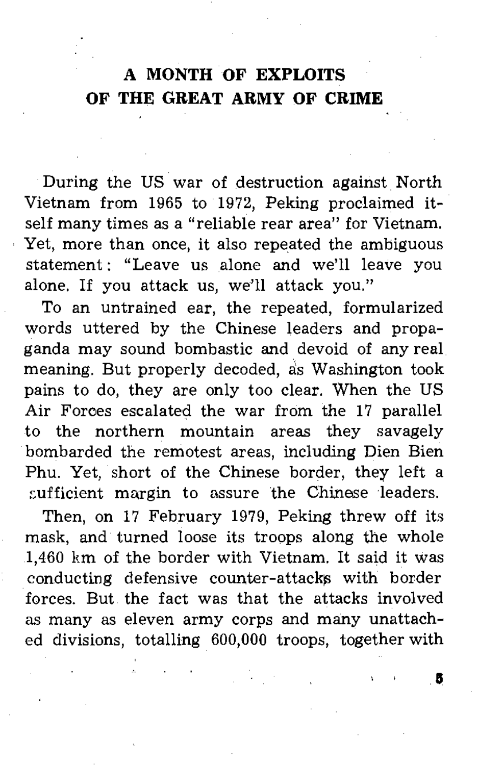# **A MONTH OF EXPLOITS OF THE GREAT ARMY OF CRIME**

During the US war of destruction against North Vietnam from 1965 to 1972, Peking proclaimed itself many times as a "reliable rear area" for Vietnam. Yet, more than once, it also repeated the ambiguous statement: "Leave us alone and we'll leave you alone. If you attack us, we'll attack you."

To an untrained ear, the repeated, formularized words uttered by the Chinese leaders and propaganda may sound bombastic and devoid of any real meaning. But properly decoded, as Washington took pains to do, they are only too clear. When the US Air Foroes escalated the war from the 17 parallel to the northern mountain areas they savagely bombarded the remotest areas, including Dien Bien Phu. Yet, short of the Chinese border, they left a sufficient margin to assure the Chinese leaders.

Then, on 17 February 1979, Peking threw off its mask, and turned loose its troops along the whole 1,460 km of the border with Vietnam. It said it was conducting defensive counter-attacks with border forces. But the fact was that the attacks involved as many as eleven army corps and many unattached divisions, totalling 600,000 troops, together with

 $\mathbf{B}$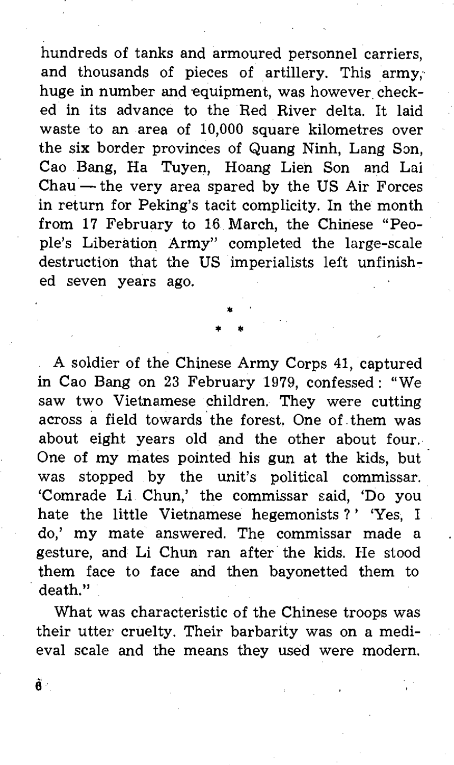hundreds of tanks and armoured personnel carriers, and thousands of pieces of artillery. This army;' huge in number and equipment, was however checked in its advance to the Red River delta. It laid waste to an area of 10,000 square kilometres over the six border provinces of Quang Ninh, Lang Son, Cao Bang, Ha Tuyen, Hoang Lien Son and Lui  $Chau$  — the very area spared by the US Air Forces in return for Peking's tacit complicity. In the month from 17 February to 16 March, the Chinese "People's Liberation Army" completed the large-scale destruction that the US imperialists left unfinished seven years ago.

> • • •

A soldier of the Chinese Army Corps 41, captured in Cao Bang on 23 February 1979, confessed: "We saw two Vietnamese children. They were cutting across a field towards the forest. One of them was about eight years old and the other about four. One of my mates pointed his gun at the kids, but' was stopped by the unit's political commissar. 'Comrade Li Chun,' the commissar said, 'Do you hate the little Vietnamese hegemonists?' 'Yes, I do,' my mate answered. The commissar made a gesture, and Li Chun ran after the kids. He stood them face to face and then bayonetted them to death."

What was characteristic of the Chinese troops was their utter cruelty. Their barbarity was on a medieval scale and the means they used were modern.

Õ.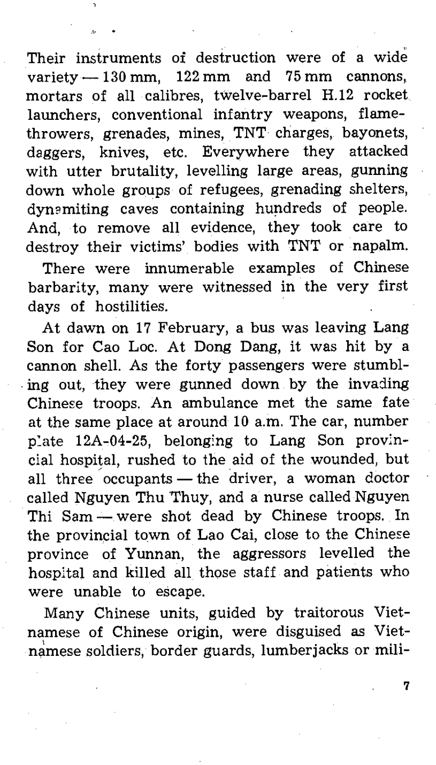Their instruments of destruction were of a wide variety  $-130$  mm, 122 mm and 75 mm cannons. mortars of all calibres, twelve-barrel H.12 rocket launchers, conventional infantry weapons, flamethrowers, grenades, mines, TNT charges, bayonets, daggers, knives, etc. Everywhere they attacked with utter brutality, levelling large areas, gunning down whole groups of refugees, grenading shelters, dymmiting caves containing hundreds of people. And, to remove all evidence, they took care to destroy their victims' bodies with TNT or napalm.

There were innumerable examples of Chinese barbarity, many were witnessed in the very first days of hostilities.

At dawn on 17 February, a bus was leaving Lang Son for Cao Loc. At Dong Dang, it was hit by a cannon shell. As the forty passengers were stumbl ing out, they were gunned down by the invading Chinese troops. An ambulance met the same fate at the same place at around 10 a.m. The car, number p:ate 12A-04-25, belong!ng to Lang Son provincial hospital, rushed to the aid of the wounded, but all three occupants  $-$  the driver, a woman doctor called Nguyen Thu 'Thuy, and a nurse called Nguyen Thi Sam - were shot dead by Chinese troops. In the provincial town of Lao Cai, close to the Chinese province of Yunnan, the aggressors levelled the hospital and killed all those staff and patients who were unable to escape.

Many Chinese units, guided by traitorous Vietnamese of Chinese origin, were disguised as Vietnamese soldiers, border guards, lumberjacks or mili-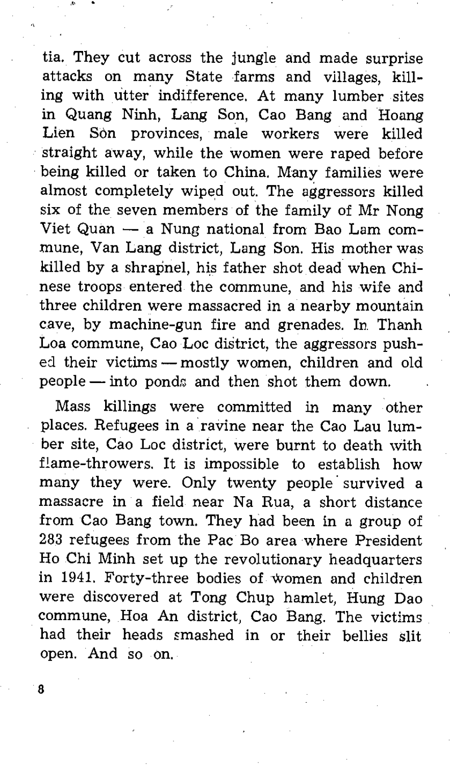tia. They cut across the jungle and made surprise attacks on many State farms and villages, killing with utter indifference. At many lumber sites in Quang Ninh, Lang Son, Cao Bang and Hoang Lien Son provinces, male workers were killed straight away, while the women were raped before being killed or taken to China. Many families were almost completely wiped out. The aggressors killed six of the seven members of the family of Mr Nong Viet Quan - a Nung national from Bao Lam commune, Van Lang district, Lang Son. His mother was killed by a shrapnel, his father shot dead when Chinese troops entered the commune, and his wife and three children were massacred in a nearby mountain cave, by machine-gun fire and grenades. In Thanh Loa commune, Cao Loc district, the aggressors pushed their victims - mostly women, children and old  $people$  - into ponds and then shot them down.

Mass killings were committed in many other places. Refugees in a ravine near the Cao Lau lumber site, Cao Loc district, were burnt to death with flame-throwers. It is impossible to establish how many they were. Only twenty people' survived a massacre in a field near Na Rua, a short distance from Cao Bang town. They had been in a group of 283 refugees from the Pac Bo area where President Ho Chi Minh set up the revolutionary headquarters in 1941. Forty-three bodies of women and children were discovered at Tong Chup hamlet, Hung Dao commune, Hoa An district, Cao Bang. The victims had their heads smashed in or their bellies slit open. And so on.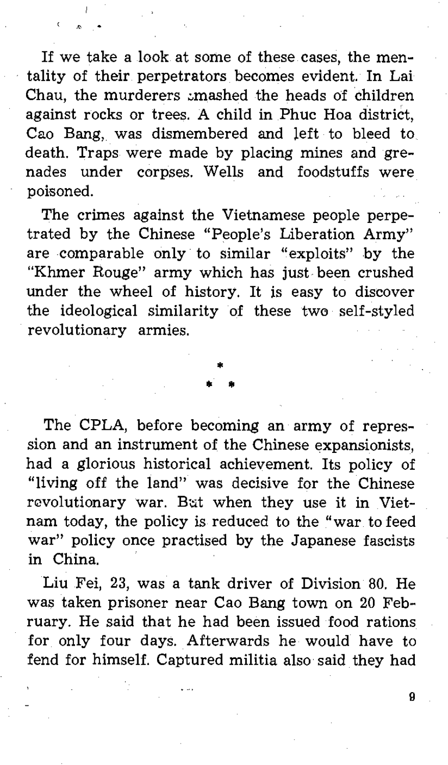If we take a look at some of these cases, the mentality of their perpetrators becomes evident. In Lai Chau, the murderers amashed the heads of children against rocks or trees. A child in Phuc Hoa district, Cao Bang, was dismembered and left to bleed to death. Traps were made by placing mines and grenades under corpses. Wells and foodstuffs were poisoned.

The crimes against the Vietnamese people perpetrated by the Chinese "People's Liberation Army" are comparable only to similar "exploits" by the "Khmer Rouge" army which has just been crushed under the wheel of history. It is easy to discover the ideological similarity of these two self-styled revolutionary armies.

> • • •

The CPLA, before becoming an army of repression and an instrument of the Chinese expansionists, had a glorious historical achievement. Its policy of "living off the land" was decisive for the Chinese revolutionary war. But when they use it in Vietnam today, the policy is reduced to the "war to feed war" policy once practised by the Japanese fascists in China.

Liu Fei, 23, was a tank driver of Division 80. He was taken prisoner near Cao Bang town on 20 February. He said that he had been issued food rations for only four days. Afterwards he would have to fend for himself. Captured militia also said they had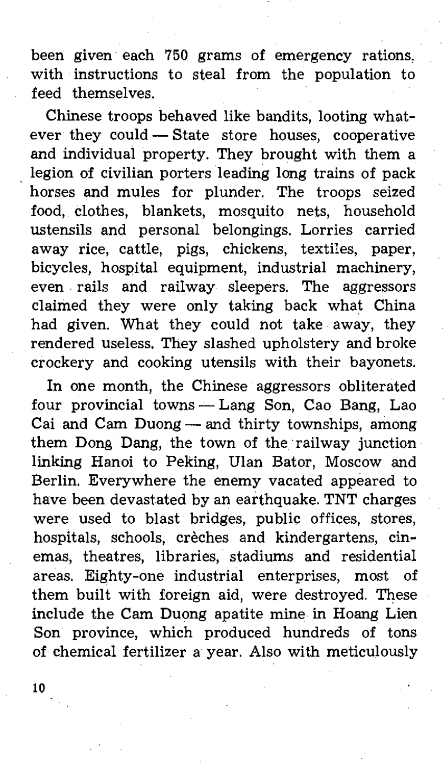been given each 750 grams of emergency rations, with instructions to steal from the population to feed themselves,

Chinese troops behaved like bandits, looting whatever they could - State store houses, cooperative and individual property, They brought with them a legion of civilian porters leading long trains of pack horses and mules for plunder, The troops seized food, clothes, blankets, mosquito nets, household ustensils and personal belongings, Lorries carried away rice, cattle, pigs, chickens, textiles, paper, bicycles, hospital equipment, industrial machinery, even . rails and railway sleepers, The aggressors claimed they were only taking back what China had given. What they could not take away, they rendered useless. They slashed upholstery and broke crockery and cooking utensils with their bayonets.

In one month, the Chinese aggressors obliterated four provincial towns - Lang Son, Cao Bang, Lao Cai and Cam Duong - and thirty townships, among them Dong Dang, the town of the railway junction linking Hanoi to Peking, Ulan Bator, Moscow and Berlin. Everywhere the enemy vacated appeared to have been devastated by an earthquake. TNT charges were used to blast bridges, public offices, stores, hospitals, schools, crèches and kindergartens, cinemas, theatres, libraries, stadiums and residential areas. Eighty-one industrial enterprises, most of them built with foreign aid, were destroyed. These include the Cam Duong apatite mine in Hoang Lien Son province, which produced hundreds of tons of chemical fertilizer a year. Also with meticulously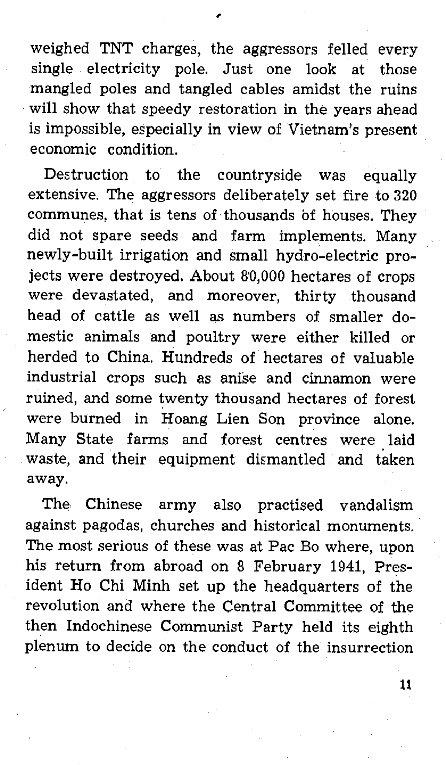weighed TNT charges, the aggressors felled every single electricity pole. Just one look at those mangled poles and tangled cables amidst the ruins will show that speedy restoration in the years ahead is impossible, especially in view of Vietnam's present economic condition.

,

Destruction to the countryside was equally extensive. The aggressors deliberately set fire to 320 communes, that is tens of thousands bf houses. They did not spare seeds and farm implements. Many newly-built irrigation and small hydro-electric proiects were destroyed. About 80,000 hectares of crops were devastated, and moreover, thirty thousand head of cattle as well as numbers of smaller domestic animals and poultry were either killed or herded to China. Hundreds of hectares of valuable industrial crops such as anise and cinnamon were ruined, and some twenty thousand hectares of forest were burned in Hoang Lien Son province alone. Many State farms and forest centres were. laid waste, and their equipment dismantled and taken away.

The Chinese army also practised vandalism against pagodas, churches and historical monuments. The most serious of these was at Pac Bo where, upon his return from abroad on 8 February 1941, President Ho Chi Minh set up the headquarters of the revolution and where the Central Committee of the then Indochinese Communist Party held its eighth plenum to decide on the conduct of the insurrection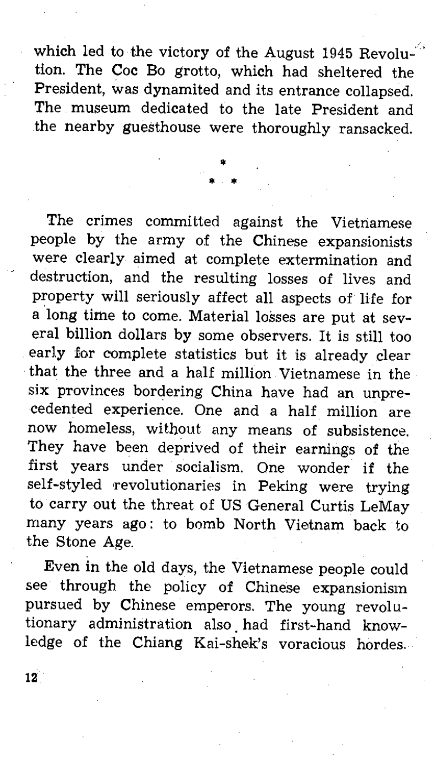which led to the victory of the August 1945 Revolution. The Coc Bo grotto, which had sheltered the President, was dynamited and its entrance collapsed. The museum dedicated to the late President and the nearby guesthouse were thoroughly ransacked.

> • • •

The crimes committed against the Vietnamese people by the army of the Chinese expansionists were clearly aimed at complete extermination and destruction, and the resulting losses of lives and property will seriously affect all aspects of life for a long time to come. Material losses are put at several billion dollars by some observers. It is still too early for complete statistics but it is already clear that the three and a half million Vietnamese in the six provinces bordering China have had an unprecedented experience. One and a half million are now homeless, without any means of subsistence. They have been deprived of their earnings of the first years under socialism. One wonder if the self-styled revolutionaries in Peking were trying to carry out the threat of US General Curtis LeMay many years ago: to bomb North Vietnam back to the Stone Age.

Even in the old days, the Vietnamese people could see through the policy of Chinese expansionism pursued by Chinese emperors. The young revolutionary administration also. had first-hand knowledge of the Chiang Kai-shek's voracious hordes.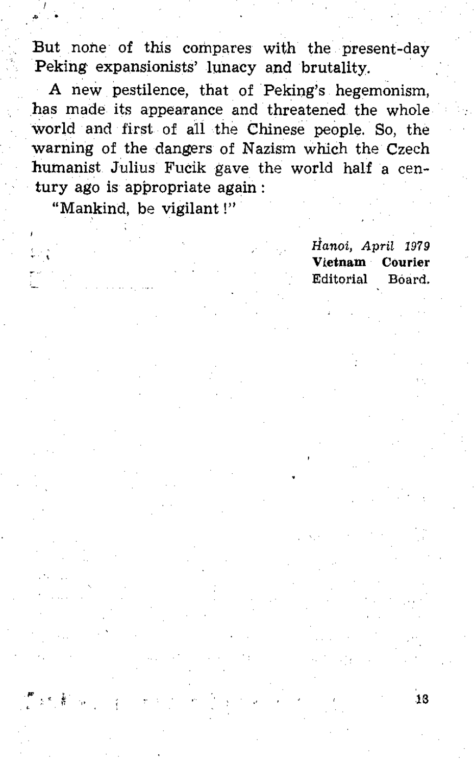But none of this compares with the present-day Peking expansionists' lunacy and brutality.

A new pestilence, that of Peking's hegemonism, has made its appearance and threatened the whole world and first of all the Chinese people. So, the warning of the dangers of Nazism which the Czech humanist Julius Fucik gave the world half a century ago is appropriate again:

"Mankind, be vigilant !"

 $\frac{1}{2}$ 

 $\frac{1}{2}$ 

•

**Hanoi,** *April 1979*  **Vtetnam Courier Editorial Board.**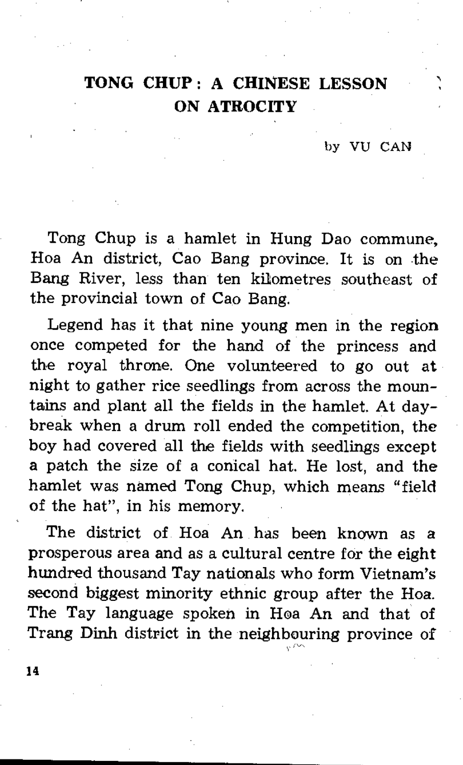# **TONG CHUP: A CHINESE LESSON ON ATROCITY**

#### by VU CAN

Tong Chup is a hamlet in Hung Dao commune, Hoa **An** district, Cao Bang province. It is on the Bang River, less than ten kilometres southeast of the provincial town of Cao Bang.

Legend has it that nine young men in the region once competed for the hand of the princess and the royal throne. One volunteered to go out at night to gather rice seedlings from across the mountains and plant all the fields in the hamlet. At daybreak when a drum roll ended the competition, the boy had covered all the fields with seedlings except a patch the size of a conical hat. He lost, and the hamlet was named Tong Chup, which means "field of the hat", in his memory.

The district of Hoa **An** has been known as a prosperous area and as a cultural centre for the eight hundred thousand Tay nationals who form Vietnam's second biggest minority ethnic group after the Hoa. The Tay language spoken in H0a An and that of Trang Dinh district in the neighbouring province of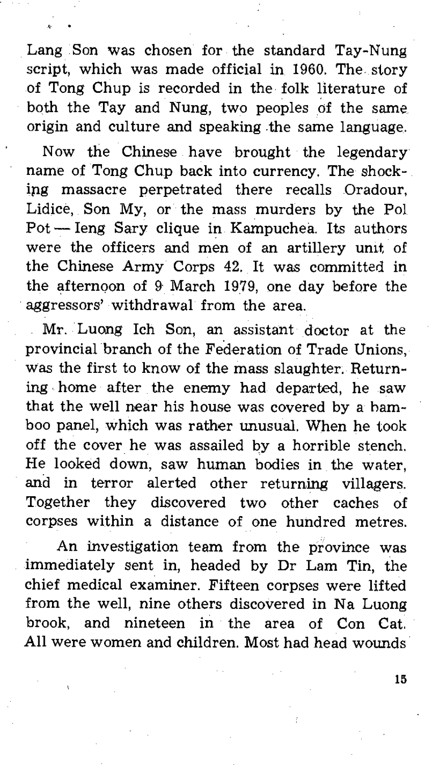Lang Son Was chosen for the standard Tay-Nung script, which was made official in 1960. The story of Tong Chup is recorded in the folk literature of both the Tay and Nung, two peoples of the same origin and culture and speaking .the same language.

Now the Chinese have brought the legendary name of Tong Chup back into currency. The shocking massacre perpetrated there recalls Oradour, Lidice, Son My, or the mass murders by the Pol Pot - leng Sary clique in Kampuchea. Its authors were the officers and men of an artillery umt, of the Chinese Army Corps 42. It was committed in the afternoon of 9· March 1979, one day before the aggressors' withdrawal from the area.

Mr. Luong lch Son, an assistant doctor at the provincial branch of the Federation of Trade Unions, Was the first to know of the mass slaughter. Returning . home after the enemy had departed, he saw that the well near his house was covered by a hamboo panel, which was rather unusual. When he took off the cover he was assailed by a horrible stench. He looked down, saw human bodies in the water, and in terror alerted other returning villagers. Together they discovered two other caches of corpses within a distance of one hundred metres.

An investigation team from the province was immediately sent in, headed by Dr Lam Tin, the chief medical examiner. Fifteen corpses were lifted from the well, nine others discovered in Na Luong brook, and nineteen in the area of Con Cat. All were women and children. Most had head wounds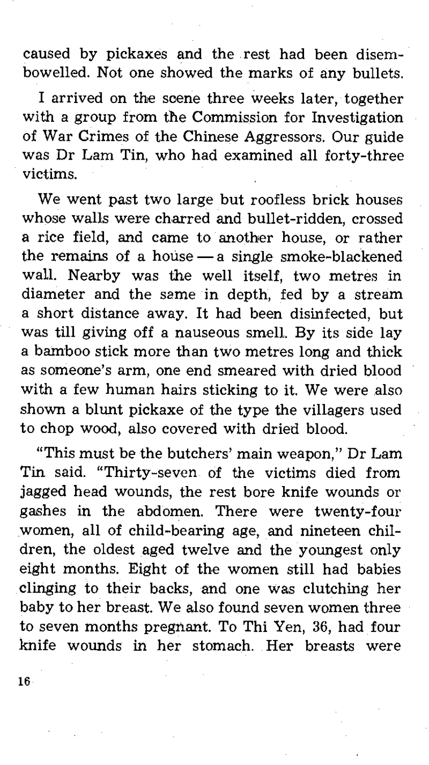caused by pickaxes and the rest had been disembowelled. Not one showed the marks of any bullets.

I arrived on the soene three weeks later, together with a group from the Commission for Investigation of War Crimes of the Chinese Aggressors. Our guide was Dr Lam Tin, who had examined all forty-three victims.

We went past two large but roofless brick houses whose walls were charred and bullet-ridden, crossed a rice field, and came to another house, or rather the remains of a house  $-$  a single smoke-blackened wall. Nearby was the well itself, two metres in diameter and the same in depth, fed by a stream a short distance away. It had been disinfected, but was till giving off a nauseous smell. By its side lay a bamboo stick more than two metres long and thick as someone's arm, one end smeared with dried blood with a few human hairs sticking to it. We were also shown a blunt pickaxe of the type the villagers used to chop wood, also covered with dried blood.

"This must be the butchers' main weapon," Dr Lam Tin said. "Thirty-seven of the victims died from jagged head wounds, the rest bore knife wounds or gashes in the abdomen. There were twenty-four women, all of child-bearing age, and nineteen children, the oldest aged twelve and the youngest only eight months. Eight of the women still had babies clinging to their backs, and one was clutching her baby to her breast. We also found seven women three to seven months pregnant. To Thi Yen, 36, had four knife wounds in her stomach. Her breasts were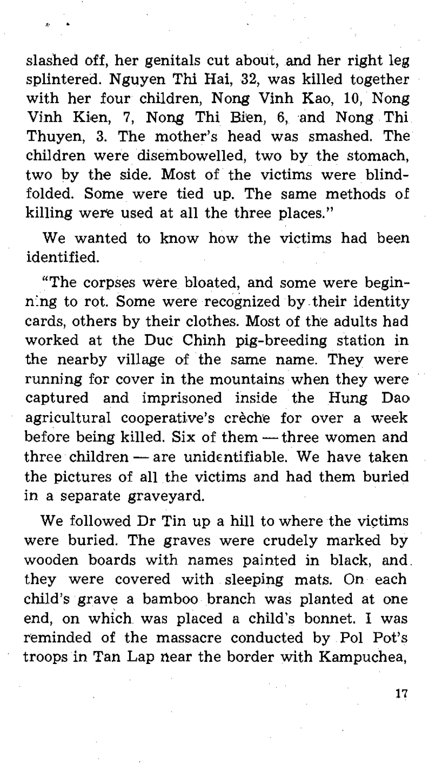slashed off, her genitals cut about, and her right leg splintered. Nguyen Thi Hai, 32, was killed together with her four children, Nong Vinh Kao, 10, Nong Vinh Kien, 7, Nong Thi Bien, 6, and Nong Thi Thuyen, 3. The mother's head was smashed. The children were disembowelled, two by the stomach, two by the side. Most of the victims were blindfolded. Some were tied up. The same methods of killing were used at all the three places."

We wanted to know how the victims had been identified.

"The corpses were bloated, and some were beginn:ng to rot. Some were recognized by. their identity cards, others by their clothes. Most of the adults had worked at the Duc Chinh pig-breeding station in the nearby village of the same name. They were running for cover in the mountains when they were captured and imprisoned inside the Hung Dao agricultural cooperative's crèche for over a week before being killed. Six of them  $-$  three women and  $three$  children  $-$  are unidentifiable. We have taken the pictures of all the victims and had them buried in a separate graveyard.

We followed Dr Tin up a hill to where the victims were buried. The graves were crudely marked by wooden boards with names painted in black, and. they were covered with sleeping mats. On each child's grave a bamboo branch was planted at one end, on which was placed a child's bonnet. I was reminded of the massacre conducted by Pol Pot's troops in Tan Lap near the border with Kampuchea,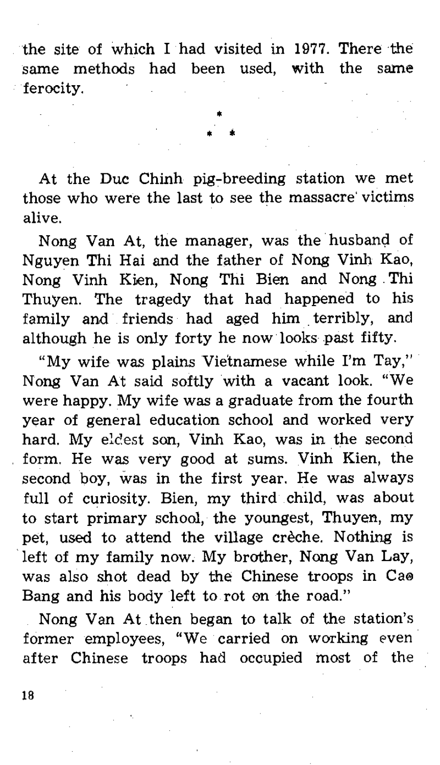the site of which I had visited in 1977. There the same methods had been used, with the same ferocity.

> \* \* •

At the Duc Chinh pig-breeding station we met those who were the last to see the massacre' victims alive.

Nong Van At, the manager, was the husband of Nguyen Thi Hai and the father of Nong Vinh Kao, Nong Vinh Kien, Nong Thi Bien and Nong, Thi Thuyen. The tragedy that had happened to his family and friends had aged him, terribly, and although he is only forty he now looks past fifty.

"My wife was plains Vietnamese while I'm Tay," Nong Van At said softly with a vacant look. "We were happy. My wife was a graduate from the fourth year of general education school and worked very hard. My eldest son, Vinh Kao, was in the second form. He was very good at sums. Vinh Kien, the second boy, was in the first year. He was always full of curiosity. Bien, my third child, was about to start primary school, the youngest, Thuyen, my pet, used to attend the village crèche. Nothing is left of my family now. My brother, Nong Van Lay, was also shot dead by the Chinese troops in Cae Bang and his body left to rot on the road."

Nong Van At then began to talk of the station's former employees, "We carried on working even after Chinese troops had occupied most of the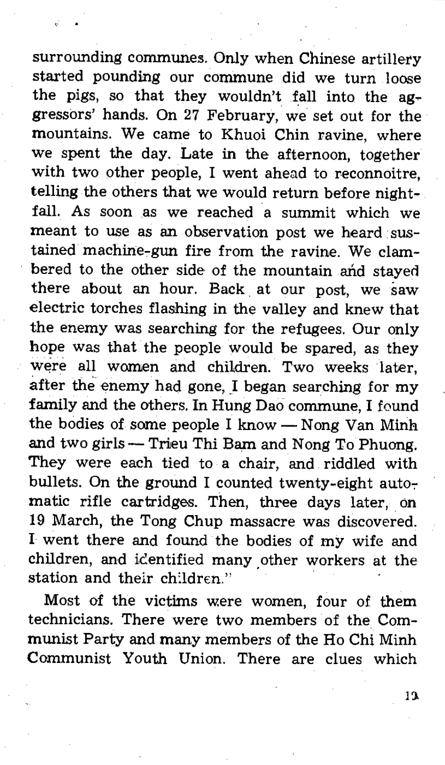surrounding communes. Only when Chinese artillery started pounding our commune did we turn loose the pigs, so that they wouldn't fall into the  $a\mathbf{g}$ gressors' hands. On 27 February, we set out for the mountains. We came to Khuoi Chin ravine, where we spent the day. Late in the afternoon, together with two other people, I went ahead to reconnoitre, telling the others that we would return before nightfall. As soon as we reached a summit which we meant to *use* as an observation post we heard· *sus*tained machine-gun fire from the ravine. We clambered to the other side of the mountain and stayed there about an hour. Back at our post, we saw electric torches flashing in the valley and knew that the enemy was searching for the refugees. Our only hope was that the people would be spared, as they were all women and children. Two weeks later, after the enemy had gone, I began searching for my family and the others. In Hung Dao commune, I found the bodies of some people I know  $-$  Nong Van Minh and two girls -- Trieu Thi Bam and Nong To Phuong. They were each tied to a chair, and riddled with bullets. On the ground I counted twenty-eight automatic rifle cartridges. Then, three days later, on 19 March, the Tong Chup massacre was discovered. I went there and found the bodies of my wife and children, and icentified many.other workers at the station and their children."

Most of the victims were women, four of them technicians. There were two members of the Communist Party and many members of the Ho Chi Minh Communist Youth Union. There are clues which

jj.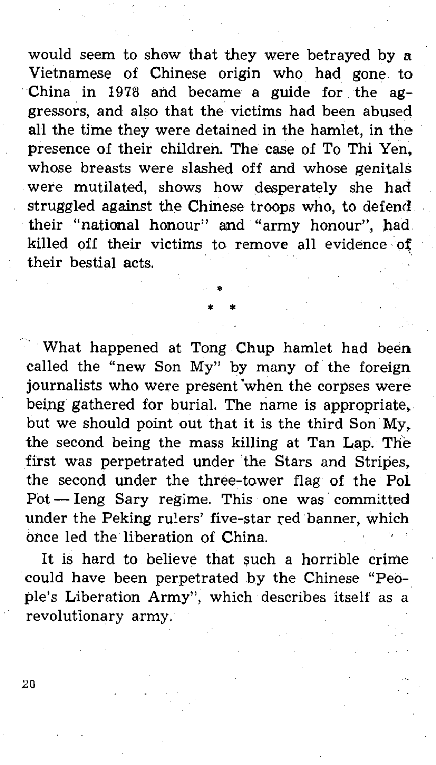would seem to show that they were betrayed by a Vietnamese of Chinese origin who had gone to China in 1978 and became a guide for the aggressors, and also that the victims had been abused all the time they were detained in the hamlet, in the presence of their children. The Case of To Thi Yen, whose breasts were slashed off and whose genitals were mutilated, shows how desperately she had struggled against the Chinese troops who, to defend **their "national honour" and "army honour", bad**  killed off their victims to remove all evidence of their bestial acts.

> • \* \*

What happened at Tong Chup hamlet had been called the "new Son My" by many of the foreign journalists who were present 'when the corpses were being gathered for burial. The name is appropriate, but we should point out that it is the third Son My, the second being the mass killing at Tan Lap. The first was perpetrated under the Stars and Stripes, the second under the three-tower flag of the Pol Pot - leng Sary regime. This one was committed under the Peking rulers' five-star red banner, which once led the liberation of China.

It is hard to believe that such a horrible crime could have been perpetrated by the Chinese "People's Liberation Army", which describes itself as a revolutionary army.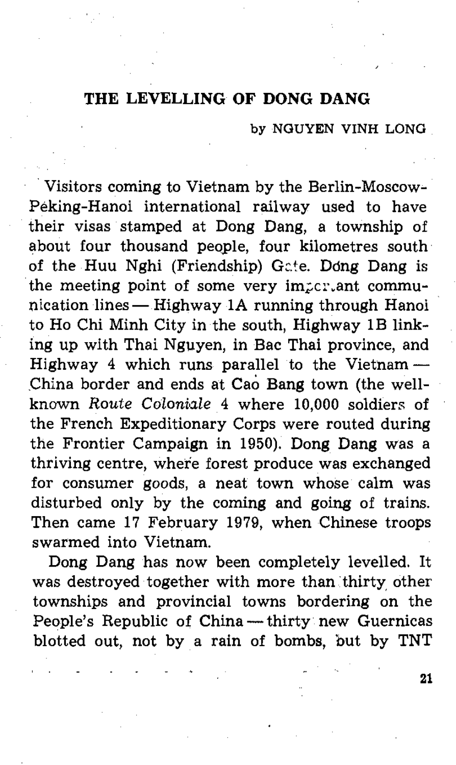### **THE LEVELLING OF DONG DANG**

#### by NGUYEN VINH LONG

. Visitors coming to Vietnam by the Berlin-Moscow-Peking-Hanoi international railway used to have their visas stamped at Dong Dang, a township of about four thousand people, four kilometres south of the Huu Nghi (Friendship) Gc.'e. Ddng Dang is the meeting point of some very impertant communication lines - Highway **lA** running through Hanoi to Ho Chi Minh City in the south, Highway 1B linking up with Thai Nguyen, in Bac Thai province, and Highway 4 which runs parallel to the Vietnam $-$ China border and ends at Cao Bang town (the wellknown *Route Coloniale* 4 where 10,000 soldiers of the French Expeditionary Corps were routed during the Frontier Campaign in 1950). Dong Dang was a thriving centre, where forest produce was exchanged for consumer goods, a neat town whose calm was disturbed only by the coming and going of trains. Then came 17 February 1979, when Chinese troops swarmed into Vietnam.

Dong Dang has now been completely levelled. It was destroyed together with more than thirty other townships and provincial towns bordering on the People's Republic of China - thirty new Guernicas blotted out, not by a rain of bombs, but by TNT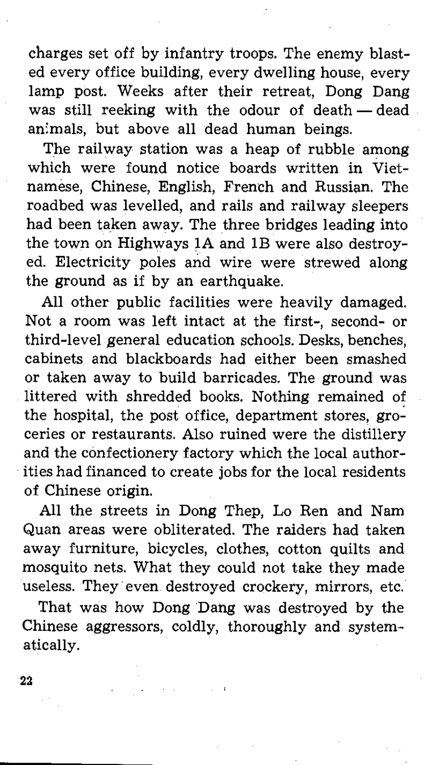charges set off by infantry troops. The enemy blasted every office building, every dwelling house, every lamp post. Weeks after their retreat, Dong Dang was still reeking with the odour of death - dead an;mals, but above all dead human beings.

The railway station was a heap of rubble among which were found notice boards written in Vietnamese, Chinese, English, French and Russian. The roadbed was levelled, and rails and railway sleepers had been taken away. The three bridges leading into the town on Highways IA and IB were also destroyed. Electricity poles and wire were strewed along the ground as if by an earthquake.

All other public facilities were heavily damaged. Not a room was left intact at the first-, second- or third-level general education schools. Desks, benches, cabinets and blackboards had either been smashed or taken away to build barricades. The ground was littered with shredded books. Nothing remained of the hospital, the post office, department stores, groceries or restaurants. Also ruined were the distillery and the confectionery factory which the local authorities had financed to create jobs for the local residents of Chinese origin.

All the streets in Dong Thep, Lo Ren and Nam Quan areas were obliterated. The raiders had taken away furniture, bicycles, clothes, cotton quilts and mosquito nets. What they could not take they made useless. They· even destroyed crockery, mirrors, etc.

That was how Dong Dang was destroyed by the Chinese aggressors, coldly, thoroughly and systematically.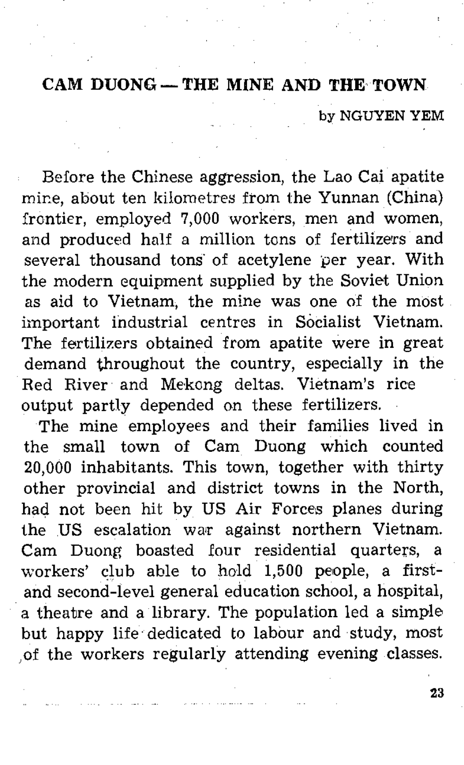## **CAM DUONG - THE MINE AND THE TOWN**

by NGUYEN YEM

Before the Chinese aggression, the Lao Cai apatite mine, about ten kilometres from the Yunnan (China) frontier, employed 7,000 workers, men and women, and produced half a million tons of fertilizers and several thousand tons of acetylene *per* year. With the modern equipment supplied by the Soviet Union as aid to Vietnam, the mine was one of the most important industrial centres in Socialist Vietnam. The fertilizers obtained from apatite were in great demand throughout the country, especially in the Red River and Mekong deltas. Vietnam's rice output partly depended on these fertilizers.

The mine employees and their families lived in the small town of Cam Duong which counted 20,000 inhabitants. This town, together with thirty other provincial and district towns in the North, had not been hit by US Air Forces planes during the US escalation war against northern Vietnam. Cam Duong boasted four residential quarters, a workers' clubable to hold 1,500 people, a firstand second-level general education school, a hospital, a theatre and a library. The population led a simple but happy life'dedicated to labour and study, most ,of the workers regularly attending evening classes.